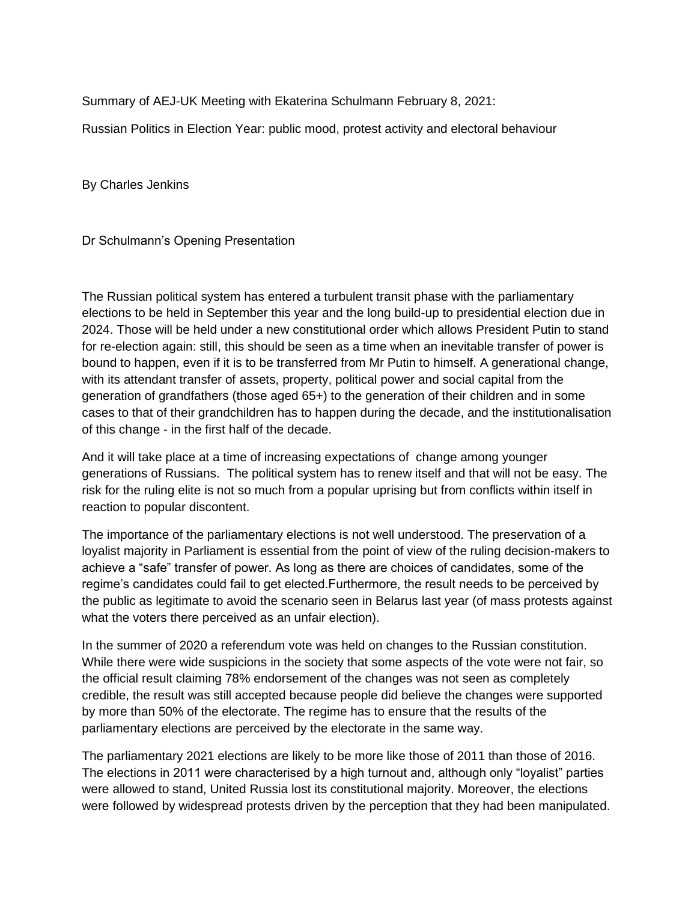Summary of AEJ-UK Meeting with Ekaterina Schulmann February 8, 2021:

Russian Politics in Election Year: public mood, protest activity and electoral behaviour

By Charles Jenkins

Dr Schulmann's Opening Presentation

The Russian political system has entered a turbulent transit phase with the parliamentary elections to be held in September this year and the long build-up to presidential election due in 2024. Those will be held under a new constitutional order which allows President Putin to stand for re-election again: still, this should be seen as a time when an inevitable transfer of power is bound to happen, even if it is to be transferred from Mr Putin to himself. A generational change, with its attendant transfer of assets, property, political power and social capital from the generation of grandfathers (those aged 65+) to the generation of their children and in some cases to that of their grandchildren has to happen during the decade, and the institutionalisation of this change - in the first half of the decade.

And it will take place at a time of increasing expectations of change among younger generations of Russians. The political system has to renew itself and that will not be easy. The risk for the ruling elite is not so much from a popular uprising but from conflicts within itself in reaction to popular discontent.

The importance of the parliamentary elections is not well understood. The preservation of a loyalist majority in Parliament is essential from the point of view of the ruling decision-makers to achieve a "safe" transfer of power. As long as there are choices of candidates, some of the regime's candidates could fail to get elected.Furthermore, the result needs to be perceived by the public as legitimate to avoid the scenario seen in Belarus last year (of mass protests against what the voters there perceived as an unfair election).

In the summer of 2020 a referendum vote was held on changes to the Russian constitution. While there were wide suspicions in the society that some aspects of the vote were not fair, so the official result claiming 78% endorsement of the changes was not seen as completely credible, the result was still accepted because people did believe the changes were supported by more than 50% of the electorate. The regime has to ensure that the results of the parliamentary elections are perceived by the electorate in the same way.

The parliamentary 2021 elections are likely to be more like those of 2011 than those of 2016. The elections in 2011 were characterised by a high turnout and, although only "loyalist" parties were allowed to stand, United Russia lost its constitutional majority. Moreover, the elections were followed by widespread protests driven by the perception that they had been manipulated.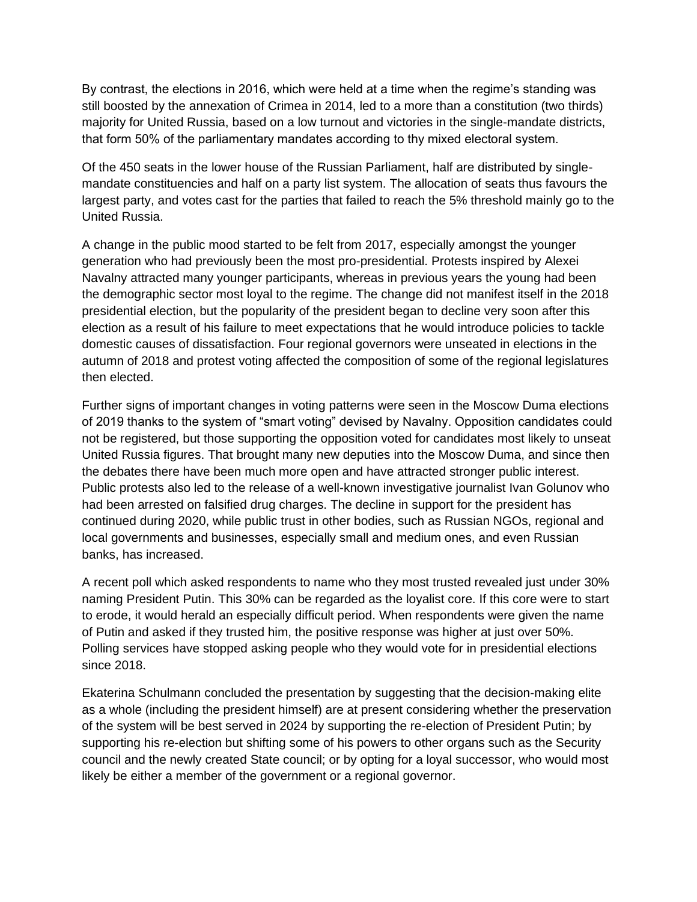By contrast, the elections in 2016, which were held at a time when the regime's standing was still boosted by the annexation of Crimea in 2014, led to a more than a constitution (two thirds) majority for United Russia, based on a low turnout and victories in the single-mandate districts, that form 50% of the parliamentary mandates according to thу mixed electoral system.

Of the 450 seats in the lower house of the Russian Parliament, half are distributed by singlemandate constituencies and half on a party list system. The allocation of seats thus favours the largest party, and votes cast for the parties that failed to reach the 5% threshold mainly go to the United Russia.

A change in the public mood started to be felt from 2017, especially amongst the younger generation who had previously been the most pro-presidential. Protests inspired by Alexei Navalny attracted many younger participants, whereas in previous years the young had been the demographic sector most loyal to the regime. The change did not manifest itself in the 2018 presidential election, but the popularity of the president began to decline very soon after this election as a result of his failure to meet expectations that he would introduce policies to tackle domestic causes of dissatisfaction. Four regional governors were unseated in elections in the autumn of 2018 and protest voting affected the composition of some of the regional legislatures then elected.

Further signs of important changes in voting patterns were seen in the Moscow Duma elections of 2019 thanks to the system of "smart voting" devised by Navalny. Opposition candidates could not be registered, but those supporting the opposition voted for candidates most likely to unseat United Russia figures. That brought many new deputies into the Moscow Duma, and since then the debates there have been much more open and have attracted stronger public interest. Public protests also led to the release of a well-known investigative journalist Ivan Golunov who had been arrested on falsified drug charges. The decline in support for the president has continued during 2020, while public trust in other bodies, such as Russian NGOs, regional and local governments and businesses, especially small and medium ones, and even Russian banks, has increased.

A recent poll which asked respondents to name who they most trusted revealed just under 30% naming President Putin. This 30% can be regarded as the loyalist core. If this core were to start to erode, it would herald an especially difficult period. When respondents were given the name of Putin and asked if they trusted him, the positive response was higher at just over 50%. Polling services have stopped asking people who they would vote for in presidential elections since 2018.

Ekaterina Schulmann concluded the presentation by suggesting that the decision-making elite as a whole (including the president himself) are at present considering whether the preservation of the system will be best served in 2024 by supporting the re-election of President Putin; by supporting his re-election but shifting some of his powers to other organs such as the Security council and the newly created State council; or by opting for a loyal successor, who would most likely be either a member of the government or a regional governor.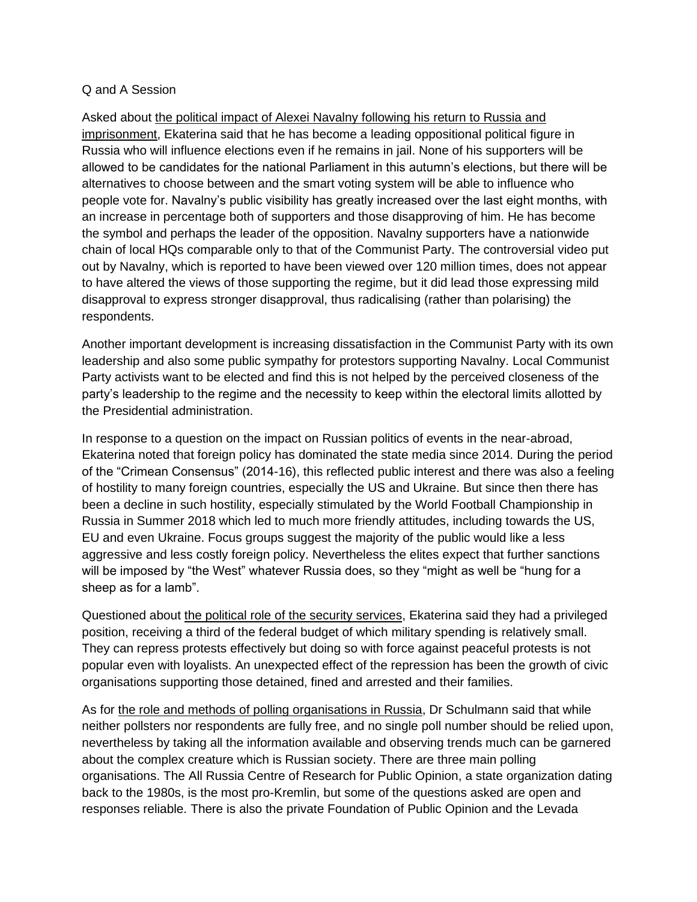## Q and A Session

Asked about the political impact of Alexei Navalny following his return to Russia and imprisonment, Ekaterina said that he has become a leading oppositional political figure in Russia who will influence elections even if he remains in jail. None of his supporters will be allowed to be candidates for the national Parliament in this autumn's elections, but there will be alternatives to choose between and the smart voting system will be able to influence who people vote for. Navalny's public visibility has greatly increased over the last eight months, with an increase in percentage both of supporters and those disapproving of him. He has become the symbol and perhaps the leader of the opposition. Navalny supporters have a nationwide chain of local HQs comparable only to that of the Communist Party. The controversial video put out by Navalny, which is reported to have been viewed over 120 million times, does not appear to have altered the views of those supporting the regime, but it did lead those expressing mild disapproval to express stronger disapproval, thus radicalising (rather than polarising) the respondents.

Another important development is increasing dissatisfaction in the Communist Party with its own leadership and also some public sympathy for protestors supporting Navalny. Local Communist Party activists want to be elected and find this is not helped by the perceived closeness of the party's leadership to the regime and the necessity to keep within the electoral limits allotted by the Presidential administration.

In response to a question on the impact on Russian politics of events in the near-abroad, Ekaterina noted that foreign policy has dominated the state media since 2014. During the period of the "Crimean Consensus" (2014-16), this reflected public interest and there was also a feeling of hostility to many foreign countries, especially the US and Ukraine. But since then there has been a decline in such hostility, especially stimulated by the World Football Championship in Russia in Summer 2018 which led to much more friendly attitudes, including towards the US, EU and even Ukraine. Focus groups suggest the majority of the public would like a less aggressive and less costly foreign policy. Nevertheless the elites expect that further sanctions will be imposed by "the West" whatever Russia does, so they "might as well be "hung for a sheep as for a lamb".

Questioned about the political role of the security services, Ekaterina said they had a privileged position, receiving a third of the federal budget of which military spending is relatively small. They can repress protests effectively but doing so with force against peaceful protests is not popular even with loyalists. An unexpected effect of the repression has been the growth of civic organisations supporting those detained, fined and arrested and their families.

As for the role and methods of polling organisations in Russia, Dr Schulmann said that while neither pollsters nor respondents are fully free, and no single poll number should be relied upon, nevertheless by taking all the information available and observing trends much can be garnered about the complex creature which is Russian society. There are three main polling organisations. The All Russia Centre of Research for Public Opinion, a state organization dating back to the 1980s, is the most pro-Kremlin, but some of the questions asked are open and responses reliable. There is also the private Foundation of Public Opinion and the Levada